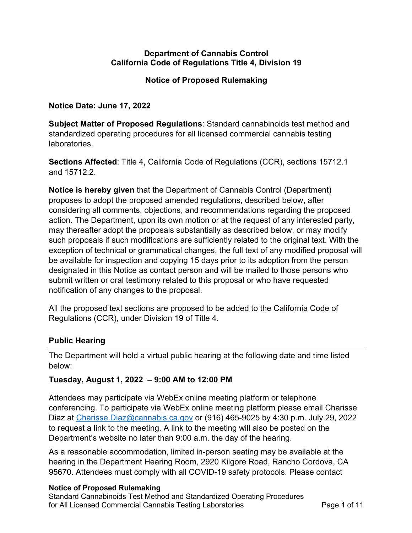### **Department of Cannabis Control California Code of Regulations Title 4, Division 19**

### **Notice of Proposed Rulemaking**

**Notice Date: June 17, 2022** 

 **Subject Matter of Proposed Regulations**: Standard cannabinoids test method and standardized operating procedures for all licensed commercial cannabis testing laboratories.

 **Sections Affected**: Title 4, California Code of Regulations (CCR), sections 15712.1 and 15712.2.

 **Notice is hereby given** that the Department of Cannabis Control (Department) proposes to adopt the proposed amended regulations, described below, after considering all comments, objections, and recommendations regarding the proposed action. The Department, upon its own motion or at the request of any interested party, may thereafter adopt the proposals substantially as described below, or may modify such proposals if such modifications are sufficiently related to the original text. With the exception of technical or grammatical changes, the full text of any modified proposal will be available for inspection and copying 15 days prior to its adoption from the person designated in this Notice as contact person and will be mailed to those persons who submit written or oral testimony related to this proposal or who have requested notification of any changes to the proposal.

 All the proposed text sections are proposed to be added to the California Code of Regulations (CCR), under Division 19 of Title 4.

### **Public Hearing**

 The Department will hold a virtual public hearing at the following date and time listed below:

### **Tuesday, August 1, 2022 – 9:00 AM to 12:00 PM**

 Attendees may participate via WebEx online meeting platform or telephone conferencing. To participate via WebEx online meeting platform please email Charisse Diaz at *Charisse.Diaz@cannabis.ca.gov* or (916) 465-9025 by 4:30 p.m. July 29, 2022 to request a link to the meeting. A link to the meeting will also be posted on the Department's website no later than 9:00 a.m. the day of the hearing.

 As a reasonable accommodation, limited in-person seating may be available at the hearing in the Department Hearing Room, 2920 Kilgore Road, Rancho Cordova, CA 95670. Attendees must comply with all COVID-19 safety protocols. Please contact

#### **Notice of Proposed Rulemaking**

 Standard Cannabinoids Test Method and Standardized Operating Procedures for All Licensed Commercial Cannabis Testing Laboratories **Page 1 of 11**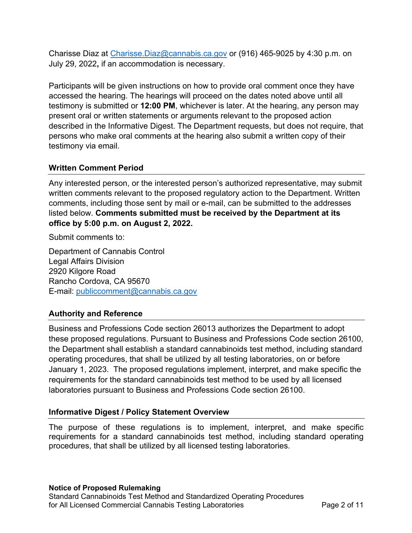Charisse Diaz at [Charisse.Diaz@cannabis.ca.gov](mailto:Charisse.Diaz@cannabis.ca.gov) or (916) 465-9025 by 4:30 p.m. on July 29, 2022**,** if an accommodation is necessary.

 Participants will be given instructions on how to provide oral comment once they have accessed the hearing. The hearings will proceed on the dates noted above until all testimony is submitted or **12:00 PM**, whichever is later. At the hearing, any person may present oral or written statements or arguments relevant to the proposed action described in the Informative Digest. The Department requests, but does not require, that persons who make oral comments at the hearing also submit a written copy of their testimony via email.

### **Written Comment Period**

 Any interested person, or the interested person's authorized representative, may submit written comments relevant to the proposed regulatory action to the Department. Written comments, including those sent by mail or e-mail, can be submitted to the addresses listed below. **Comments submitted must be received by the Department at its office by 5:00 p.m. on August 2, 2022.** 

Submit comments to:

 Department of Cannabis Control 2920 Kilgore Road Rancho Cordova, CA 95670 E-mail: publiccomment@cannabis.ca.gov Legal Affairs Division

# **Authority and Reference**

 Business and Professions Code section 26013 authorizes the Department to adopt these proposed regulations. Pursuant to Business and Professions Code section 26100, the Department shall establish a standard cannabinoids test method, including standard operating procedures, that shall be utilized by all testing laboratories, on or before January 1, 2023. The proposed regulations implement, interpret, and make specific the requirements for the standard cannabinoids test method to be used by all licensed laboratories pursuant to Business and Professions Code section 26100.

### **Informative Digest / Policy Statement Overview**

 The purpose of these regulations is to implement, interpret, and make specific requirements for a standard cannabinoids test method, including standard operating procedures, that shall be utilized by all licensed testing laboratories.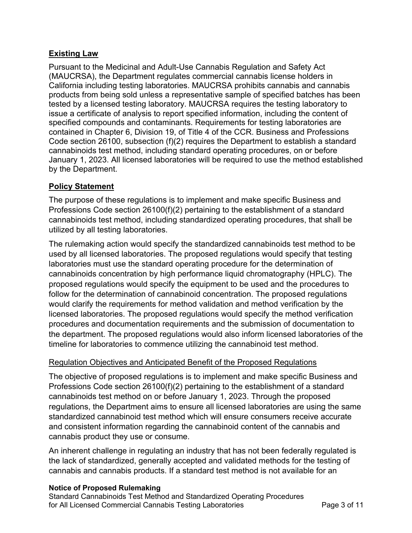### **Existing Law**

 Pursuant to the Medicinal and Adult-Use Cannabis Regulation and Safety Act (MAUCRSA), the Department regulates commercial cannabis license holders in California including testing laboratories. MAUCRSA prohibits cannabis and cannabis products from being sold unless a representative sample of specified batches has been tested by a licensed testing laboratory. MAUCRSA requires the testing laboratory to issue a certificate of analysis to report specified information, including the content of contained in Chapter 6, Division 19, of Title 4 of the CCR. Business and Professions Code section 26100, subsection (f)(2) requires the Department to establish a standard cannabinoids test method, including standard operating procedures, on or before January 1, 2023. All licensed laboratories will be required to use the method established by the Department. specified compounds and contaminants. Requirements for testing laboratories are

### **Policy Statement**

 The purpose of these regulations is to implement and make specific Business and Professions Code section 26100(f)(2) pertaining to the establishment of a standard cannabinoids test method, including standardized operating procedures, that shall be utilized by all testing laboratories.

 The rulemaking action would specify the standardized cannabinoids test method to be used by all licensed laboratories. The proposed regulations would specify that testing laboratories must use the standard operating procedure for the determination of cannabinoids concentration by high performance liquid chromatography (HPLC). The proposed regulations would specify the equipment to be used and the procedures to follow for the determination of cannabinoid concentration. The proposed regulations would clarify the requirements for method validation and method verification by the licensed laboratories. The proposed regulations would specify the method verification procedures and documentation requirements and the submission of documentation to the department. The proposed regulations would also inform licensed laboratories of the timeline for laboratories to commence utilizing the cannabinoid test method.

### Regulation Objectives and Anticipated Benefit of the Proposed Regulations

 The objective of proposed regulations is to implement and make specific Business and Professions Code section 26100(f)(2) pertaining to the establishment of a standard cannabinoids test method on or before January 1, 2023. Through the proposed regulations, the Department aims to ensure all licensed laboratories are using the same standardized cannabinoid test method which will ensure consumers receive accurate and consistent information regarding the cannabinoid content of the cannabis and cannabis product they use or consume.

 An inherent challenge in regulating an industry that has not been federally regulated is the lack of standardized, generally accepted and validated methods for the testing of cannabis and cannabis products. If a standard test method is not available for an

### **Notice of Proposed Rulemaking**

 Standard Cannabinoids Test Method and Standardized Operating Procedures for All Licensed Commercial Cannabis Testing Laboratories **Page 3 of 11**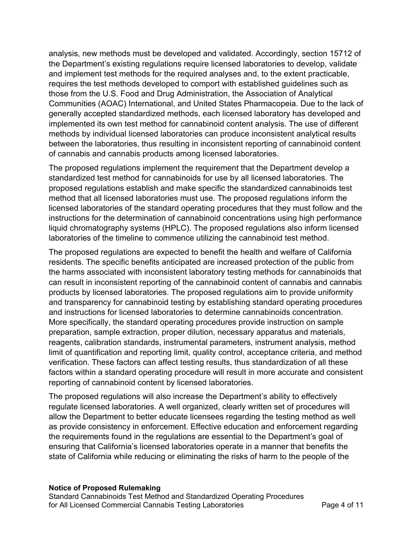analysis, new methods must be developed and validated. Accordingly, section 15712 of the Department's existing regulations require licensed laboratories to develop, validate and implement test methods for the required analyses and, to the extent practicable, requires the test methods developed to comport with established guidelines such as those from the U.S. Food and Drug Administration, the Association of Analytical Communities (AOAC) International, and United States Pharmacopeia. Due to the lack of generally accepted standardized methods, each licensed laboratory has developed and implemented its own test method for cannabinoid content analysis. The use of different methods by individual licensed laboratories can produce inconsistent analytical results between the laboratories, thus resulting in inconsistent reporting of cannabinoid content of cannabis and cannabis products among licensed laboratories.

 The proposed regulations implement the requirement that the Department develop a standardized test method for cannabinoids for use by all licensed laboratories. The proposed regulations establish and make specific the standardized cannabinoids test method that all licensed laboratories must use. The proposed regulations inform the licensed laboratories of the standard operating procedures that they must follow and the instructions for the determination of cannabinoid concentrations using high performance liquid chromatography systems (HPLC). The proposed regulations also inform licensed laboratories of the timeline to commence utilizing the cannabinoid test method.

 The proposed regulations are expected to benefit the health and welfare of California residents. The specific benefits anticipated are increased protection of the public from the harms associated with inconsistent laboratory testing methods for cannabinoids that can result in inconsistent reporting of the cannabinoid content of cannabis and cannabis products by licensed laboratories. The proposed regulations aim to provide uniformity and transparency for cannabinoid testing by establishing standard operating procedures and instructions for licensed laboratories to determine cannabinoids concentration. More specifically, the standard operating procedures provide instruction on sample preparation, sample extraction, proper dilution, necessary apparatus and materials, reagents, calibration standards, instrumental parameters, instrument analysis, method limit of quantification and reporting limit, quality control, acceptance criteria, and method verification. These factors can affect testing results, thus standardization of all these factors within a standard operating procedure will result in more accurate and consistent reporting of cannabinoid content by licensed laboratories.

 The proposed regulations will also increase the Department's ability to effectively regulate licensed laboratories. A well organized, clearly written set of procedures will allow the Department to better educate licensees regarding the testing method as well as provide consistency in enforcement. Effective education and enforcement regarding the requirements found in the regulations are essential to the Department's goal of ensuring that California's licensed laboratories operate in a manner that benefits the state of California while reducing or eliminating the risks of harm to the people of the

#### **Notice of Proposed Rulemaking**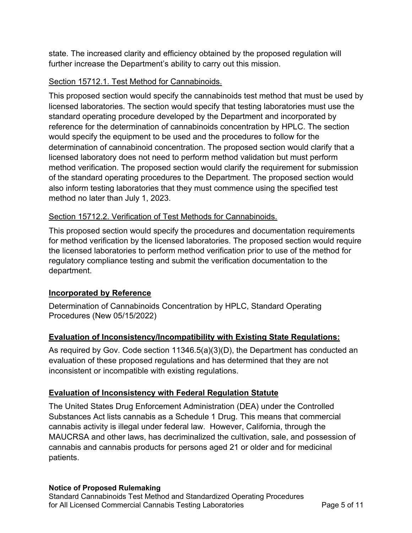state. The increased clarity and efficiency obtained by the proposed regulation will further increase the Department's ability to carry out this mission.

### Section 15712.1. Test Method for Cannabinoids.

 This proposed section would specify the cannabinoids test method that must be used by licensed laboratories. The section would specify that testing laboratories must use the standard operating procedure developed by the Department and incorporated by reference for the determination of cannabinoids concentration by HPLC. The section would specify the equipment to be used and the procedures to follow for the determination of cannabinoid concentration. The proposed section would clarify that a licensed laboratory does not need to perform method validation but must perform method verification. The proposed section would clarify the requirement for submission of the standard operating procedures to the Department. The proposed section would also inform testing laboratories that they must commence using the specified test method no later than July 1, 2023.

### Section 15712.2. Verification of Test Methods for Cannabinoids.

 This proposed section would specify the procedures and documentation requirements for method verification by the licensed laboratories. The proposed section would require the licensed laboratories to perform method verification prior to use of the method for regulatory compliance testing and submit the verification documentation to the department.

### **Incorporated by Reference**

 Determination of Cannabinoids Concentration by HPLC, Standard Operating Procedures (New 05/15/2022)

### **Evaluation of Inconsistency/Incompatibility with Existing State Regulations:**

 As required by Gov. Code section 11346.5(a)(3)(D), the Department has conducted an evaluation of these proposed regulations and has determined that they are not inconsistent or incompatible with existing regulations.

### **Evaluation of Inconsistency with Federal Regulation Statute**

 The United States Drug Enforcement Administration (DEA) under the Controlled Substances Act lists cannabis as a Schedule 1 Drug. This means that commercial cannabis activity is illegal under federal law. However, California, through the MAUCRSA and other laws, has decriminalized the cultivation, sale, and possession of cannabis and cannabis products for persons aged 21 or older and for medicinal patients.

### **Notice of Proposed Rulemaking**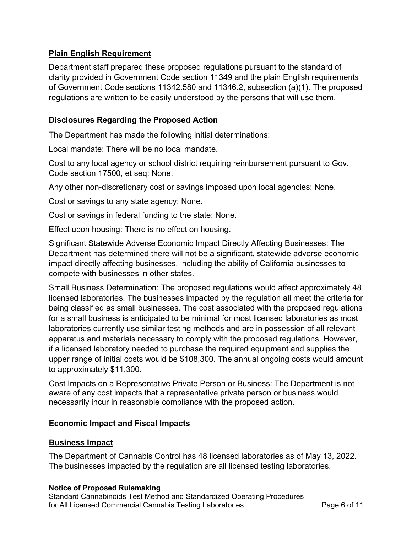### **Plain English Requirement**

 Department staff prepared these proposed regulations pursuant to the standard of clarity provided in Government Code section 11349 and the plain English requirements of Government Code sections 11342.580 and 11346.2, subsection (a)(1). The proposed regulations are written to be easily understood by the persons that will use them.

### **Disclosures Regarding the Proposed Action**

The Department has made the following initial determinations:

Local mandate: There will be no local mandate.

 Cost to any local agency or school district requiring reimbursement pursuant to Gov. Code section 17500, et seq: None.

Any other non-discretionary cost or savings imposed upon local agencies: None.

Cost or savings to any state agency: None.

Cost or savings in federal funding to the state: None.

Effect upon housing: There is no effect on housing.

 Significant Statewide Adverse Economic Impact Directly Affecting Businesses: The Department has determined there will not be a significant, statewide adverse economic impact directly affecting businesses, including the ability of California businesses to compete with businesses in other states.

 Small Business Determination: The proposed regulations would affect approximately 48 licensed laboratories. The businesses impacted by the regulation all meet the criteria for being classified as small businesses. The cost associated with the proposed regulations for a small business is anticipated to be minimal for most licensed laboratories as most laboratories currently use similar testing methods and are in possession of all relevant apparatus and materials necessary to comply with the proposed regulations. However, if a licensed laboratory needed to purchase the required equipment and supplies the upper range of initial costs would be \$108,300. The annual ongoing costs would amount to approximately \$11,300.

 Cost Impacts on a Representative Private Person or Business: The Department is not aware of any cost impacts that a representative private person or business would necessarily incur in reasonable compliance with the proposed action.

### **Economic Impact and Fiscal Impacts**

### **Business Impact**

 The Department of Cannabis Control has 48 licensed laboratories as of May 13, 2022. The businesses impacted by the regulation are all licensed testing laboratories.

### **Notice of Proposed Rulemaking**

 Standard Cannabinoids Test Method and Standardized Operating Procedures for All Licensed Commercial Cannabis Testing Laboratories **Page 6 of 11**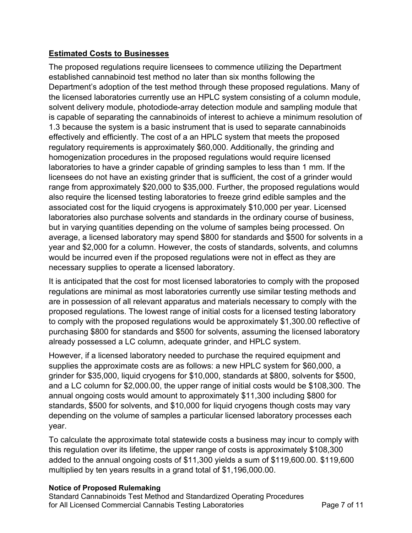## **Estimated Costs to Businesses**

 The proposed regulations require licensees to commence utilizing the Department established cannabinoid test method no later than six months following the Department's adoption of the test method through these proposed regulations. Many of the licensed laboratories currently use an HPLC system consisting of a column module, solvent delivery module, photodiode-array detection module and sampling module that is capable of separating the cannabinoids of interest to achieve a minimum resolution of 1.3 because the system is a basic instrument that is used to separate cannabinoids effectively and efficiently. The cost of a an HPLC system that meets the proposed regulatory requirements is approximately \$60,000. Additionally, the grinding and homogenization procedures in the proposed regulations would require licensed laboratories to have a grinder capable of grinding samples to less than 1 mm. If the licensees do not have an existing grinder that is sufficient, the cost of a grinder would range from approximately \$20,000 to \$35,000. Further, the proposed regulations would also require the licensed testing laboratories to freeze grind edible samples and the associated cost for the liquid cryogens is approximately \$10,000 per year. Licensed laboratories also purchase solvents and standards in the ordinary course of business, but in varying quantities depending on the volume of samples being processed. On average, a licensed laboratory may spend \$800 for standards and \$500 for solvents in a year and \$2,000 for a column. However, the costs of standards, solvents, and columns would be incurred even if the proposed regulations were not in effect as they are necessary supplies to operate a licensed laboratory.

 It is anticipated that the cost for most licensed laboratories to comply with the proposed regulations are minimal as most laboratories currently use similar testing methods and are in possession of all relevant apparatus and materials necessary to comply with the proposed regulations. The lowest range of initial costs for a licensed testing laboratory to comply with the proposed regulations would be approximately [\\$1,300.00](https://1,300.00) reflective of purchasing \$800 for standards and \$500 for solvents, assuming the licensed laboratory already possessed a LC column, adequate grinder, and HPLC system.

 However, if a licensed laboratory needed to purchase the required equipment and supplies the approximate costs are as follows: a new HPLC system for \$60,000, a grinder for \$35,000, liquid cryogens for \$10,000, standards at \$800, solvents for \$500, and a LC column for \$[2,000.00](https://2,000.00), the upper range of initial costs would be \$108,300. The annual ongoing costs would amount to approximately \$11,300 including \$800 for standards, \$500 for solvents, and \$10,000 for liquid cryogens though costs may vary depending on the volume of samples a particular licensed laboratory processes each year.

year.<br>To calculate the approximate total statewide costs a business may incur to comply with this regulation over its lifetime, the upper range of costs is approximately \$108,300 added to the annual ongoing costs of \$11,300 yields a sum of \$[119,600.00.](https://119,600.00) \$119,600 multiplied by ten years results in a grand total of \$[1,196,000.00.](https://1,196,000.00)

### **Notice of Proposed Rulemaking**

 Standard Cannabinoids Test Method and Standardized Operating Procedures for All Licensed Commercial Cannabis Testing Laboratories **Page 7 of 11**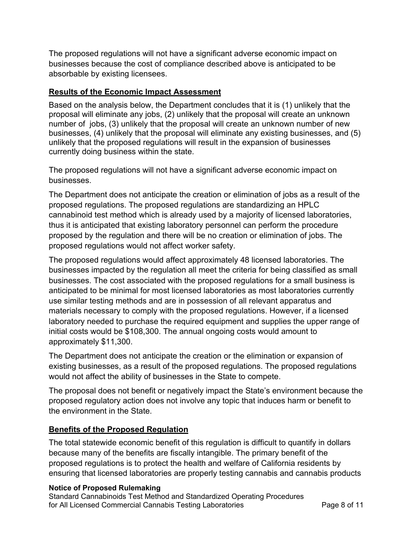The proposed regulations will not have a significant adverse economic impact on businesses because the cost of compliance described above is anticipated to be absorbable by existing licensees.

### **Results of the Economic Impact Assessment**

 Based on the analysis below, the Department concludes that it is (1) unlikely that the proposal will eliminate any jobs, (2) unlikely that the proposal will create an unknown number of jobs, (3) unlikely that the proposal will create an unknown number of new businesses, (4) unlikely that the proposal will eliminate any existing businesses, and (5) unlikely that the proposed regulations will result in the expansion of businesses currently doing business within the state.

 The proposed regulations will not have a significant adverse economic impact on businesses.

businesses.<br>The Department does not anticipate the creation or elimination of jobs as a result of the proposed regulations. The proposed regulations are standardizing an HPLC cannabinoid test method which is already used by a majority of licensed laboratories, thus it is anticipated that existing laboratory personnel can perform the procedure proposed by the regulation and there will be no creation or elimination of jobs. The proposed regulations would not affect worker safety.

 The proposed regulations would affect approximately 48 licensed laboratories. The businesses impacted by the regulation all meet the criteria for being classified as small businesses. The cost associated with the proposed regulations for a small business is anticipated to be minimal for most licensed laboratories as most laboratories currently use similar testing methods and are in possession of all relevant apparatus and materials necessary to comply with the proposed regulations. However, if a licensed laboratory needed to purchase the required equipment and supplies the upper range of initial costs would be \$108,300. The annual ongoing costs would amount to approximately \$11,300.

approximately \$11,300.<br>The Department does not anticipate the creation or the elimination or expansion of existing businesses, as a result of the proposed regulations. The proposed regulations would not affect the ability of businesses in the State to compete.

 The proposal does not benefit or negatively impact the State's environment because the proposed regulatory action does not involve any topic that induces harm or benefit to the environment in the State.

### **Benefits of the Proposed Regulation**

 The total statewide economic benefit of this regulation is difficult to quantify in dollars because many of the benefits are fiscally intangible. The primary benefit of the proposed regulations is to protect the health and welfare of California residents by ensuring that licensed laboratories are properly testing cannabis and cannabis products

#### **Notice of Proposed Rulemaking**

 Standard Cannabinoids Test Method and Standardized Operating Procedures for All Licensed Commercial Cannabis Testing Laboratories **Page 8 of 11**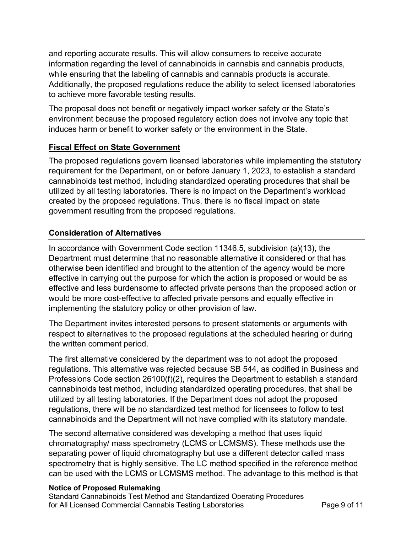and reporting accurate results. This will allow consumers to receive accurate information regarding the level of cannabinoids in cannabis and cannabis products, while ensuring that the labeling of cannabis and cannabis products is accurate. Additionally, the proposed regulations reduce the ability to select licensed laboratories to achieve more favorable testing results.

 The proposal does not benefit or negatively impact worker safety or the State's environment because the proposed regulatory action does not involve any topic that induces harm or benefit to worker safety or the environment in the State.

### **Fiscal Effect on State Government**

 The proposed regulations govern licensed laboratories while implementing the statutory requirement for the Department, on or before January 1, 2023, to establish a standard cannabinoids test method, including standardized operating procedures that shall be utilized by all testing laboratories. There is no impact on the Department's workload created by the proposed regulations. Thus, there is no fiscal impact on state government resulting from the proposed regulations.

## **Consideration of Alternatives**

 In accordance with Government Code section 11346.5, subdivision (a)(13), the Department must determine that no reasonable alternative it considered or that has otherwise been identified and brought to the attention of the agency would be more effective in carrying out the purpose for which the action is proposed or would be as effective and less burdensome to affected private persons than the proposed action or would be more cost-effective to affected private persons and equally effective in implementing the statutory policy or other provision of law.

 The Department invites interested persons to present statements or arguments with respect to alternatives to the proposed regulations at the scheduled hearing or during the written comment period.

 The first alternative considered by the department was to not adopt the proposed regulations. This alternative was rejected because SB 544, as codified in Business and Professions Code section 26100(f)(2), requires the Department to establish a standard cannabinoids test method, including standardized operating procedures, that shall be utilized by all testing laboratories. If the Department does not adopt the proposed regulations, there will be no standardized test method for licensees to follow to test cannabinoids and the Department will not have complied with its statutory mandate.

 The second alternative considered was developing a method that uses liquid chromatography/ mass spectrometry (LCMS or LCMSMS). These methods use the separating power of liquid chromatography but use a different detector called mass spectrometry that is highly sensitive. The LC method specified in the reference method can be used with the LCMS or LCMSMS method. The advantage to this method is that

### **Notice of Proposed Rulemaking**

 Standard Cannabinoids Test Method and Standardized Operating Procedures for All Licensed Commercial Cannabis Testing Laboratories **Page 9 of 11**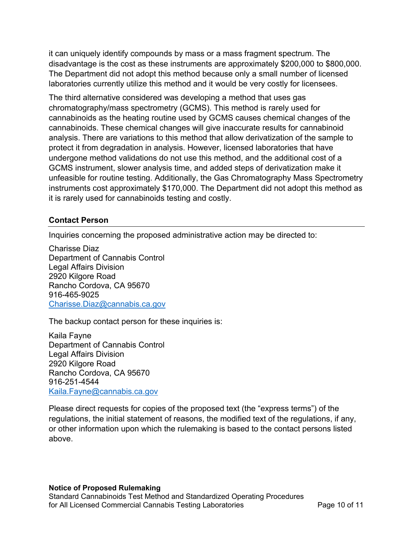it can uniquely identify compounds by mass or a mass fragment spectrum. The disadvantage is the cost as these instruments are approximately \$200,000 to \$800,000. The Department did not adopt this method because only a small number of licensed laboratories currently utilize this method and it would be very costly for licensees.

 The third alternative considered was developing a method that uses gas cannabinoids as the heating routine used by GCMS causes chemical changes of the cannabinoids. These chemical changes will give inaccurate results for cannabinoid analysis. There are variations to this method that allow derivatization of the sample to protect it from degradation in analysis. However, licensed laboratories that have undergone method validations do not use this method, and the additional cost of a GCMS instrument, slower analysis time, and added steps of derivatization make it unfeasible for routine testing. Additionally, the Gas Chromatography Mass Spectrometry instruments cost approximately \$170,000. The Department did not adopt this method as it is rarely used for cannabinoids testing and costly. chromatography/mass spectrometry (GCMS). This method is rarely used for

#### **Contact Person**

Inquiries concerning the proposed administrative action may be directed to:

 Charisse Diaz Department of Cannabis Control 2920 Kilgore Road Rancho Cordova, CA 95670 Charisse.Diaz@cannabis.ca.gov Legal Affairs Division 916-465-9025

<u>[Charisse.Diaz@cannabis.ca.gov](mailto:Charisse.Diaz@cannabis.ca.gov)</u><br>The backup contact person for these inquiries is:

 Kaila Fayne Department of Cannabis Control 2920 Kilgore Road Rancho Cordova, CA 95670 Legal Affairs Division 916-251-4544 [Kaila.Fayne@cannabis.ca.gov](mailto:Kaila.Fayne@cannabis.ca.gov) 

 Please direct requests for copies of the proposed text (the "express terms") of the regulations, the initial statement of reasons, the modified text of the regulations, if any, or other information upon which the rulemaking is based to the contact persons listed above.

#### **Notice of Proposed Rulemaking**